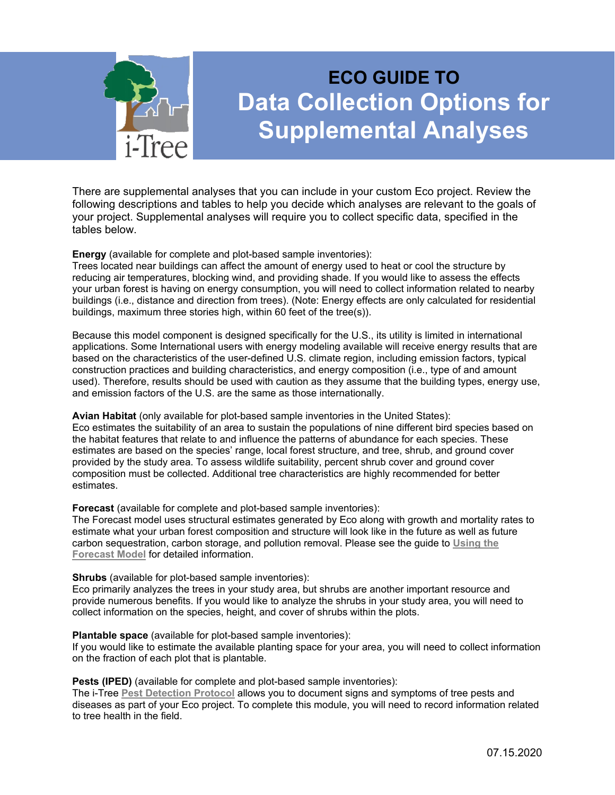

# **ECO GUIDE TO Data Collection Options for Supplemental Analyses**

There are supplemental analyses that you can include in your custom Eco project. Review the following descriptions and tables to help you decide which analyses are relevant to the goals of your project. Supplemental analyses will require you to collect specific data, specified in the tables below.

**Energy** (available for complete and plot-based sample inventories):

Trees located near buildings can affect the amount of energy used to heat or cool the structure by reducing air temperatures, blocking wind, and providing shade. If you would like to assess the effects your urban forest is having on energy consumption, you will need to collect information related to nearby buildings (i.e., distance and direction from trees). (Note: Energy effects are only calculated for residential buildings, maximum three stories high, within 60 feet of the tree(s)).

Because this model component is designed specifically for the U.S., its utility is limited in international applications. Some International users with energy modeling available will receive energy results that are based on the characteristics of the user-defined U.S. climate region, including emission factors, typical construction practices and building characteristics, and energy composition (i.e., type of and amount used). Therefore, results should be used with caution as they assume that the building types, energy use, and emission factors of the U.S. are the same as those internationally.

## **Avian Habitat** (only available for plot-based sample inventories in the United States):

Eco estimates the suitability of an area to sustain the populations of nine different bird species based on the habitat features that relate to and influence the patterns of abundance for each species. These estimates are based on the species' range, local forest structure, and tree, shrub, and ground cover provided by the study area. To assess wildlife suitability, percent shrub cover and ground cover composition must be collected. Additional tree characteristics are highly recommended for better estimates.

**Forecast** (available for complete and plot-based sample inventories):

The Forecast model uses structural estimates generated by Eco along with growth and mortality rates to estimate what your urban forest composition and structure will look like in the future as well as future carbon sequestration, carbon storage, and pollution removal. Please see the guide to **[Using the](http://www.itreetools.org/resources/manuals/Ecov6_ManualsGuides/Ecov6Guide_UsingForecast.pdf)  [Forecast](http://www.itreetools.org/resources/manuals/Ecov6_ManualsGuides/Ecov6Guide_UsingForecast.pdf) Model** for detailed information.

**Shrubs** (available for plot-based sample inventories):

Eco primarily analyzes the trees in your study area, but shrubs are another important resource and provide numerous benefits. If you would like to analyze the shrubs in your study area, you will need to collect information on the species, height, and cover of shrubs within the plots.

**Plantable space** (available for plot-based sample inventories):

If you would like to estimate the available planting space for your area, you will need to collect information on the fraction of each plot that is plantable.

**Pests (IPED)** (available for complete and plot-based sample inventories):

The i-Tree **[Pest Detection Protocol](https://www.itreetools.org/tools/i-tree-pest-detection-iped)** allows you to document signs and symptoms of tree pests and diseases as part of your Eco project. To complete this module, you will need to record information related to tree health in the field.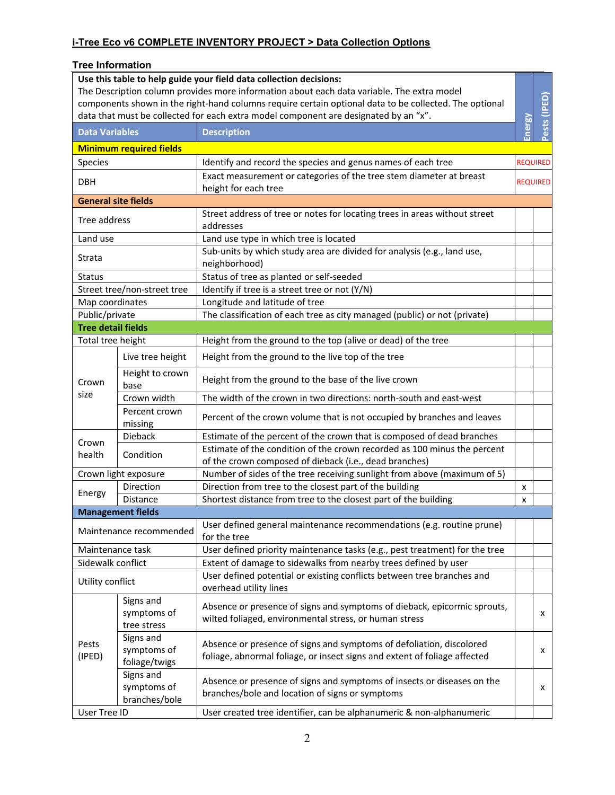#### **Tree Information**

| Use this table to help guide your field data collection decisions:<br>The Description column provides more information about each data variable. The extra model<br>components shown in the right-hand columns require certain optional data to be collected. The optional<br>data that must be collected for each extra model component are designated by an "x". |                                             |                                                                                                                                                   |        | Pests (IPED)    |
|--------------------------------------------------------------------------------------------------------------------------------------------------------------------------------------------------------------------------------------------------------------------------------------------------------------------------------------------------------------------|---------------------------------------------|---------------------------------------------------------------------------------------------------------------------------------------------------|--------|-----------------|
|                                                                                                                                                                                                                                                                                                                                                                    | <b>Data Variables</b><br><b>Description</b> |                                                                                                                                                   |        |                 |
|                                                                                                                                                                                                                                                                                                                                                                    | <b>Minimum required fields</b>              |                                                                                                                                                   | inergy |                 |
| <b>Species</b>                                                                                                                                                                                                                                                                                                                                                     |                                             | Identify and record the species and genus names of each tree                                                                                      |        | <b>REQUIRED</b> |
|                                                                                                                                                                                                                                                                                                                                                                    |                                             | Exact measurement or categories of the tree stem diameter at breast                                                                               |        |                 |
| <b>DBH</b>                                                                                                                                                                                                                                                                                                                                                         |                                             | height for each tree                                                                                                                              |        | <b>REQUIRED</b> |
| <b>General site fields</b>                                                                                                                                                                                                                                                                                                                                         |                                             |                                                                                                                                                   |        |                 |
| Tree address                                                                                                                                                                                                                                                                                                                                                       |                                             | Street address of tree or notes for locating trees in areas without street<br>addresses                                                           |        |                 |
| Land use                                                                                                                                                                                                                                                                                                                                                           |                                             | Land use type in which tree is located                                                                                                            |        |                 |
| Strata                                                                                                                                                                                                                                                                                                                                                             |                                             | Sub-units by which study area are divided for analysis (e.g., land use,<br>neighborhood)                                                          |        |                 |
| <b>Status</b>                                                                                                                                                                                                                                                                                                                                                      |                                             | Status of tree as planted or self-seeded                                                                                                          |        |                 |
|                                                                                                                                                                                                                                                                                                                                                                    | Street tree/non-street tree                 | Identify if tree is a street tree or not (Y/N)                                                                                                    |        |                 |
| Map coordinates                                                                                                                                                                                                                                                                                                                                                    |                                             | Longitude and latitude of tree                                                                                                                    |        |                 |
| Public/private                                                                                                                                                                                                                                                                                                                                                     |                                             | The classification of each tree as city managed (public) or not (private)                                                                         |        |                 |
| <b>Tree detail fields</b>                                                                                                                                                                                                                                                                                                                                          |                                             |                                                                                                                                                   |        |                 |
| Total tree height                                                                                                                                                                                                                                                                                                                                                  |                                             | Height from the ground to the top (alive or dead) of the tree                                                                                     |        |                 |
|                                                                                                                                                                                                                                                                                                                                                                    | Live tree height                            | Height from the ground to the live top of the tree                                                                                                |        |                 |
| Crown                                                                                                                                                                                                                                                                                                                                                              | Height to crown<br>base                     | Height from the ground to the base of the live crown                                                                                              |        |                 |
| size                                                                                                                                                                                                                                                                                                                                                               | Crown width                                 | The width of the crown in two directions: north-south and east-west                                                                               |        |                 |
|                                                                                                                                                                                                                                                                                                                                                                    | Percent crown<br>missing                    | Percent of the crown volume that is not occupied by branches and leaves                                                                           |        |                 |
| Crown                                                                                                                                                                                                                                                                                                                                                              | Dieback                                     | Estimate of the percent of the crown that is composed of dead branches                                                                            |        |                 |
| health                                                                                                                                                                                                                                                                                                                                                             | Condition                                   | Estimate of the condition of the crown recorded as 100 minus the percent                                                                          |        |                 |
|                                                                                                                                                                                                                                                                                                                                                                    |                                             | of the crown composed of dieback (i.e., dead branches)                                                                                            |        |                 |
|                                                                                                                                                                                                                                                                                                                                                                    | Crown light exposure                        | Number of sides of the tree receiving sunlight from above (maximum of 5)                                                                          |        |                 |
| Energy                                                                                                                                                                                                                                                                                                                                                             | Direction                                   | Direction from tree to the closest part of the building                                                                                           | х      |                 |
|                                                                                                                                                                                                                                                                                                                                                                    | <b>Distance</b>                             | Shortest distance from tree to the closest part of the building                                                                                   | x      |                 |
|                                                                                                                                                                                                                                                                                                                                                                    | <b>Management fields</b>                    |                                                                                                                                                   |        |                 |
|                                                                                                                                                                                                                                                                                                                                                                    | Maintenance recommended                     | User defined general maintenance recommendations (e.g. routine prune)<br>for the tree                                                             |        |                 |
| Maintenance task                                                                                                                                                                                                                                                                                                                                                   |                                             | User defined priority maintenance tasks (e.g., pest treatment) for the tree                                                                       |        |                 |
| Sidewalk conflict                                                                                                                                                                                                                                                                                                                                                  |                                             | Extent of damage to sidewalks from nearby trees defined by user                                                                                   |        |                 |
| Utility conflict                                                                                                                                                                                                                                                                                                                                                   |                                             | User defined potential or existing conflicts between tree branches and<br>overhead utility lines                                                  |        |                 |
| Pests<br>(IPED)                                                                                                                                                                                                                                                                                                                                                    | Signs and<br>symptoms of<br>tree stress     | Absence or presence of signs and symptoms of dieback, epicormic sprouts,<br>wilted foliaged, environmental stress, or human stress                |        | x               |
|                                                                                                                                                                                                                                                                                                                                                                    | Signs and<br>symptoms of<br>foliage/twigs   | Absence or presence of signs and symptoms of defoliation, discolored<br>foliage, abnormal foliage, or insect signs and extent of foliage affected |        | x               |
|                                                                                                                                                                                                                                                                                                                                                                    | Signs and<br>symptoms of<br>branches/bole   | Absence or presence of signs and symptoms of insects or diseases on the<br>branches/bole and location of signs or symptoms                        |        | x               |
| User Tree ID                                                                                                                                                                                                                                                                                                                                                       |                                             | User created tree identifier, can be alphanumeric & non-alphanumeric                                                                              |        |                 |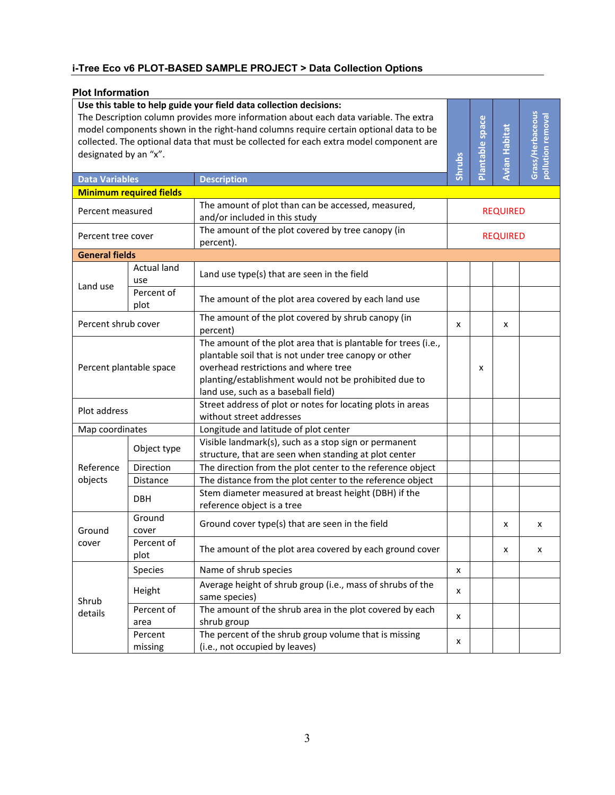## **i-Tree Eco v6 PLOT-BASED SAMPLE PROJECT > Data Collection Options**

### **Plot Information**

| Use this table to help guide your field data collection decisions:<br>The Description column provides more information about each data variable. The extra<br>model components shown in the right-hand columns require certain optional data to be<br>collected. The optional data that must be collected for each extra model component are<br>designated by an "x".<br><b>Data Variables</b><br><b>Description</b> |                                |                                                                                                                                                                                                                                                                 | Shrubs          | Plantable space | Avian Habitat | Grass/Herbaceous<br>pollution removal |
|----------------------------------------------------------------------------------------------------------------------------------------------------------------------------------------------------------------------------------------------------------------------------------------------------------------------------------------------------------------------------------------------------------------------|--------------------------------|-----------------------------------------------------------------------------------------------------------------------------------------------------------------------------------------------------------------------------------------------------------------|-----------------|-----------------|---------------|---------------------------------------|
|                                                                                                                                                                                                                                                                                                                                                                                                                      | <b>Minimum required fields</b> | The amount of plot than can be accessed, measured,                                                                                                                                                                                                              |                 |                 |               |                                       |
| Percent measured<br>Percent tree cover                                                                                                                                                                                                                                                                                                                                                                               |                                | and/or included in this study                                                                                                                                                                                                                                   | <b>REQUIRED</b> |                 |               |                                       |
|                                                                                                                                                                                                                                                                                                                                                                                                                      |                                | The amount of the plot covered by tree canopy (in<br>percent).                                                                                                                                                                                                  | <b>REQUIRED</b> |                 |               |                                       |
| <b>General fields</b>                                                                                                                                                                                                                                                                                                                                                                                                |                                |                                                                                                                                                                                                                                                                 |                 |                 |               |                                       |
|                                                                                                                                                                                                                                                                                                                                                                                                                      | <b>Actual land</b><br>use      | Land use type(s) that are seen in the field                                                                                                                                                                                                                     |                 |                 |               |                                       |
| Land use                                                                                                                                                                                                                                                                                                                                                                                                             | Percent of<br>plot             | The amount of the plot area covered by each land use                                                                                                                                                                                                            |                 |                 |               |                                       |
| Percent shrub cover                                                                                                                                                                                                                                                                                                                                                                                                  |                                | The amount of the plot covered by shrub canopy (in<br>percent)                                                                                                                                                                                                  | x               |                 | x             |                                       |
| Percent plantable space                                                                                                                                                                                                                                                                                                                                                                                              |                                | The amount of the plot area that is plantable for trees (i.e.,<br>plantable soil that is not under tree canopy or other<br>overhead restrictions and where tree<br>planting/establishment would not be prohibited due to<br>land use, such as a baseball field) |                 | x               |               |                                       |
| Plot address                                                                                                                                                                                                                                                                                                                                                                                                         |                                | Street address of plot or notes for locating plots in areas<br>without street addresses                                                                                                                                                                         |                 |                 |               |                                       |
| Map coordinates                                                                                                                                                                                                                                                                                                                                                                                                      |                                | Longitude and latitude of plot center                                                                                                                                                                                                                           |                 |                 |               |                                       |
|                                                                                                                                                                                                                                                                                                                                                                                                                      | Object type                    | Visible landmark(s), such as a stop sign or permanent<br>structure, that are seen when standing at plot center                                                                                                                                                  |                 |                 |               |                                       |
| Reference                                                                                                                                                                                                                                                                                                                                                                                                            | Direction                      | The direction from the plot center to the reference object                                                                                                                                                                                                      |                 |                 |               |                                       |
| objects                                                                                                                                                                                                                                                                                                                                                                                                              | Distance                       | The distance from the plot center to the reference object                                                                                                                                                                                                       |                 |                 |               |                                       |
|                                                                                                                                                                                                                                                                                                                                                                                                                      | <b>DBH</b>                     | Stem diameter measured at breast height (DBH) if the<br>reference object is a tree                                                                                                                                                                              |                 |                 |               |                                       |
| Ground                                                                                                                                                                                                                                                                                                                                                                                                               | Ground<br>cover                | Ground cover type(s) that are seen in the field                                                                                                                                                                                                                 |                 |                 | x             | x                                     |
| cover                                                                                                                                                                                                                                                                                                                                                                                                                | Percent of<br>plot             | The amount of the plot area covered by each ground cover                                                                                                                                                                                                        |                 |                 | x             | х                                     |
|                                                                                                                                                                                                                                                                                                                                                                                                                      | Species                        | Name of shrub species                                                                                                                                                                                                                                           | x               |                 |               |                                       |
| Shrub<br>details                                                                                                                                                                                                                                                                                                                                                                                                     | Height                         | Average height of shrub group (i.e., mass of shrubs of the<br>same species)                                                                                                                                                                                     | x               |                 |               |                                       |
|                                                                                                                                                                                                                                                                                                                                                                                                                      | Percent of<br>area             | The amount of the shrub area in the plot covered by each<br>shrub group                                                                                                                                                                                         | x               |                 |               |                                       |
|                                                                                                                                                                                                                                                                                                                                                                                                                      | Percent<br>missing             | The percent of the shrub group volume that is missing<br>(i.e., not occupied by leaves)                                                                                                                                                                         | x               |                 |               |                                       |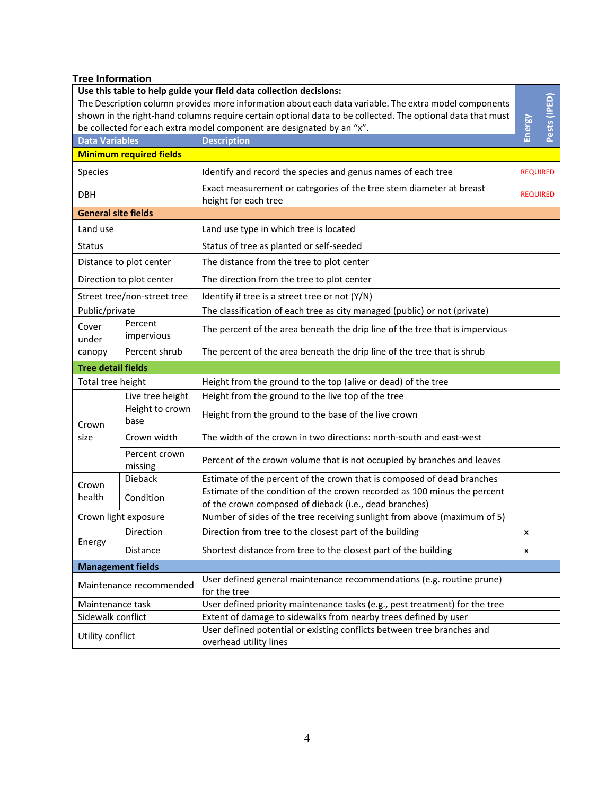## **Tree Information**

| Use this table to help guide your field data collection decisions:                                         |                                |                                                                                                                                    |                 |              |  |
|------------------------------------------------------------------------------------------------------------|--------------------------------|------------------------------------------------------------------------------------------------------------------------------------|-----------------|--------------|--|
| The Description column provides more information about each data variable. The extra model components      |                                |                                                                                                                                    |                 |              |  |
| shown in the right-hand columns require certain optional data to be collected. The optional data that must |                                |                                                                                                                                    |                 |              |  |
| be collected for each extra model component are designated by an "x".                                      |                                |                                                                                                                                    | Energy          | Pests (IPED) |  |
| <b>Data Variables</b>                                                                                      |                                | <b>Description</b>                                                                                                                 |                 |              |  |
|                                                                                                            | <b>Minimum required fields</b> |                                                                                                                                    |                 |              |  |
| Species                                                                                                    |                                | Identify and record the species and genus names of each tree                                                                       | <b>REQUIRED</b> |              |  |
| <b>DBH</b>                                                                                                 |                                | Exact measurement or categories of the tree stem diameter at breast<br>height for each tree                                        | <b>REQUIRED</b> |              |  |
| <b>General site fields</b>                                                                                 |                                |                                                                                                                                    |                 |              |  |
| Land use                                                                                                   |                                | Land use type in which tree is located                                                                                             |                 |              |  |
| <b>Status</b>                                                                                              |                                | Status of tree as planted or self-seeded                                                                                           |                 |              |  |
|                                                                                                            | Distance to plot center        | The distance from the tree to plot center                                                                                          |                 |              |  |
|                                                                                                            | Direction to plot center       | The direction from the tree to plot center                                                                                         |                 |              |  |
|                                                                                                            | Street tree/non-street tree    | Identify if tree is a street tree or not (Y/N)                                                                                     |                 |              |  |
| Public/private                                                                                             |                                | The classification of each tree as city managed (public) or not (private)                                                          |                 |              |  |
| Cover<br>under                                                                                             | Percent<br>impervious          | The percent of the area beneath the drip line of the tree that is impervious                                                       |                 |              |  |
| canopy                                                                                                     | Percent shrub                  | The percent of the area beneath the drip line of the tree that is shrub                                                            |                 |              |  |
| <b>Tree detail fields</b>                                                                                  |                                |                                                                                                                                    |                 |              |  |
| Total tree height                                                                                          |                                | Height from the ground to the top (alive or dead) of the tree                                                                      |                 |              |  |
|                                                                                                            | Live tree height               | Height from the ground to the live top of the tree                                                                                 |                 |              |  |
| Crown                                                                                                      | Height to crown<br>base        | Height from the ground to the base of the live crown                                                                               |                 |              |  |
| size                                                                                                       | Crown width                    | The width of the crown in two directions: north-south and east-west                                                                |                 |              |  |
|                                                                                                            | Percent crown<br>missing       | Percent of the crown volume that is not occupied by branches and leaves                                                            |                 |              |  |
| Crown                                                                                                      | <b>Dieback</b>                 | Estimate of the percent of the crown that is composed of dead branches                                                             |                 |              |  |
| health                                                                                                     | Condition                      | Estimate of the condition of the crown recorded as 100 minus the percent<br>of the crown composed of dieback (i.e., dead branches) |                 |              |  |
| Crown light exposure                                                                                       |                                | Number of sides of the tree receiving sunlight from above (maximum of 5)                                                           |                 |              |  |
| Energy                                                                                                     | Direction                      | Direction from tree to the closest part of the building                                                                            | X               |              |  |
|                                                                                                            | Distance                       | Shortest distance from tree to the closest part of the building                                                                    | x               |              |  |
| <b>Management fields</b>                                                                                   |                                |                                                                                                                                    |                 |              |  |
| Maintenance recommended                                                                                    |                                | User defined general maintenance recommendations (e.g. routine prune)<br>for the tree                                              |                 |              |  |
| Maintenance task                                                                                           |                                | User defined priority maintenance tasks (e.g., pest treatment) for the tree                                                        |                 |              |  |
| Sidewalk conflict                                                                                          |                                | Extent of damage to sidewalks from nearby trees defined by user                                                                    |                 |              |  |
| Utility conflict                                                                                           |                                | User defined potential or existing conflicts between tree branches and<br>overhead utility lines                                   |                 |              |  |